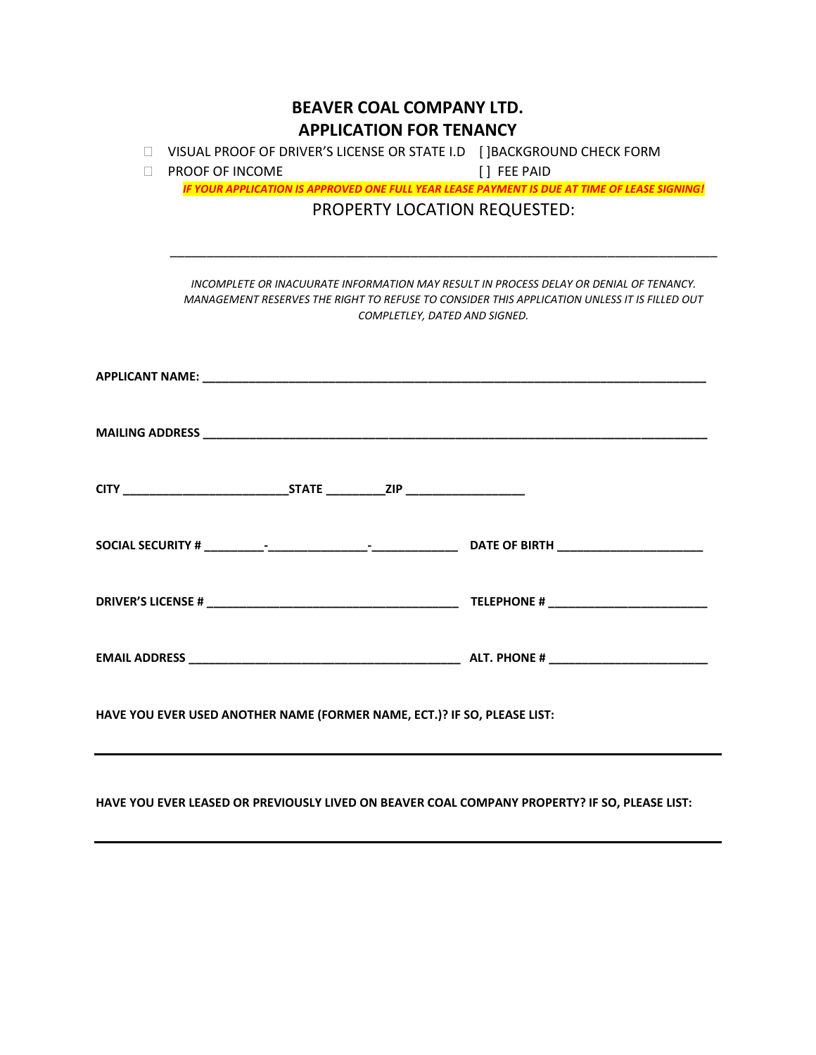| <b>BEAVER COAL COMPANY LTD.</b><br><b>APPLICATION FOR TENANCY</b>                |                                                                                                                                                                                                                         |                                                                                               |  |  |  |  |  |  |
|----------------------------------------------------------------------------------|-------------------------------------------------------------------------------------------------------------------------------------------------------------------------------------------------------------------------|-----------------------------------------------------------------------------------------------|--|--|--|--|--|--|
| VISUAL PROOF OF DRIVER'S LICENSE OR STATE I.D [] BACKGROUND CHECK FORM<br>$\Box$ |                                                                                                                                                                                                                         |                                                                                               |  |  |  |  |  |  |
| П                                                                                | <b>PROOF OF INCOME</b>                                                                                                                                                                                                  | [] FEE PAID                                                                                   |  |  |  |  |  |  |
|                                                                                  |                                                                                                                                                                                                                         | IF YOUR APPLICATION IS APPROVED ONE FULL YEAR LEASE PAYMENT IS DUE AT TIME OF LEASE SIGNING!  |  |  |  |  |  |  |
|                                                                                  | PROPERTY LOCATION REQUESTED:                                                                                                                                                                                            |                                                                                               |  |  |  |  |  |  |
|                                                                                  | INCOMPLETE OR INACUURATE INFORMATION MAY RESULT IN PROCESS DELAY OR DENIAL OF TENANCY.<br>MANAGEMENT RESERVES THE RIGHT TO REFUSE TO CONSIDER THIS APPLICATION UNLESS IT IS FILLED OUT<br>COMPLETLEY, DATED AND SIGNED. |                                                                                               |  |  |  |  |  |  |
|                                                                                  |                                                                                                                                                                                                                         |                                                                                               |  |  |  |  |  |  |
|                                                                                  |                                                                                                                                                                                                                         |                                                                                               |  |  |  |  |  |  |
|                                                                                  |                                                                                                                                                                                                                         |                                                                                               |  |  |  |  |  |  |
|                                                                                  |                                                                                                                                                                                                                         |                                                                                               |  |  |  |  |  |  |
|                                                                                  |                                                                                                                                                                                                                         |                                                                                               |  |  |  |  |  |  |
|                                                                                  |                                                                                                                                                                                                                         |                                                                                               |  |  |  |  |  |  |
| HAVE YOU EVER USED ANOTHER NAME (FORMER NAME, ECT.)? IF SO, PLEASE LIST:         |                                                                                                                                                                                                                         |                                                                                               |  |  |  |  |  |  |
|                                                                                  |                                                                                                                                                                                                                         | HAVE YOU EVER LEASED OR PREVIOUSLY LIVED ON BEAVER COAL COMPANY PROPERTY? IF SO, PLEASE LIST: |  |  |  |  |  |  |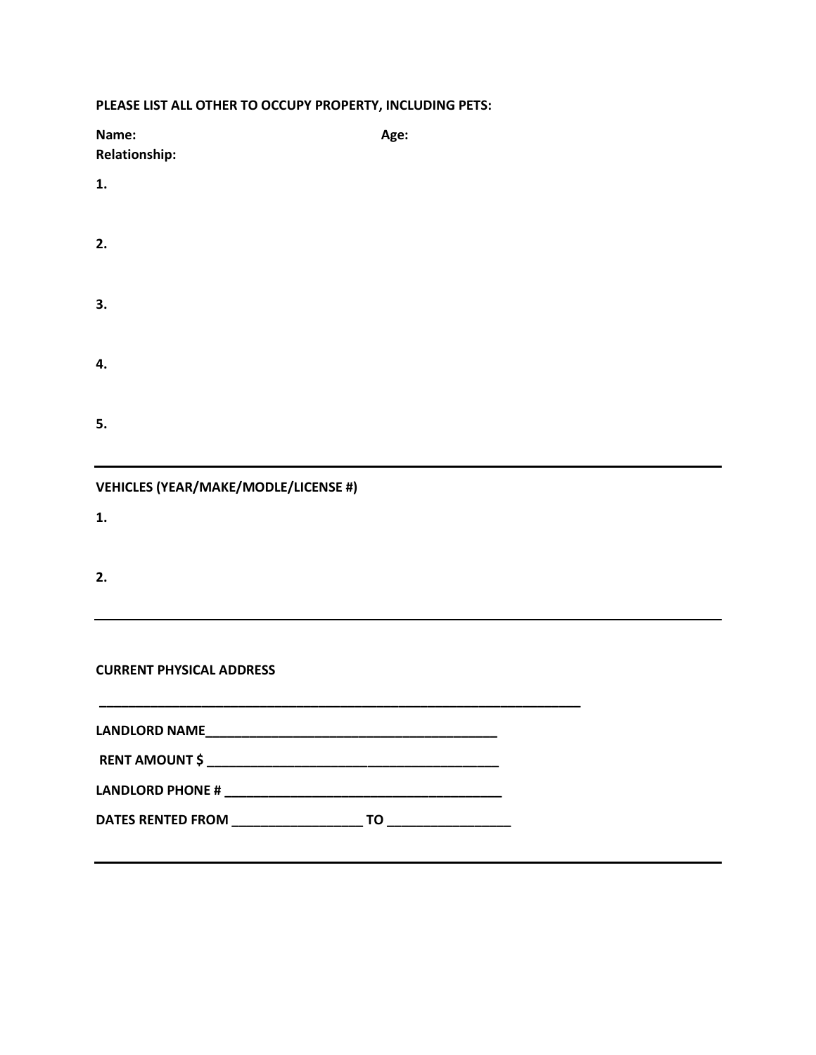| Name:<br><b>Relationship:</b>               | Age: |  |  |  |  |
|---------------------------------------------|------|--|--|--|--|
| 1.                                          |      |  |  |  |  |
| 2.                                          |      |  |  |  |  |
| 3.                                          |      |  |  |  |  |
| 4.                                          |      |  |  |  |  |
| 5.                                          |      |  |  |  |  |
| <b>VEHICLES (YEAR/MAKE/MODLE/LICENSE #)</b> |      |  |  |  |  |
| 1.                                          |      |  |  |  |  |
| 2.                                          |      |  |  |  |  |
| <b>CURRENT PHYSICAL ADDRESS</b>             |      |  |  |  |  |
|                                             |      |  |  |  |  |
|                                             |      |  |  |  |  |
|                                             |      |  |  |  |  |
|                                             |      |  |  |  |  |
|                                             |      |  |  |  |  |

## **PLEASE LIST ALL OTHER TO OCCUPY PROPERTY, INCLUDING PETS:**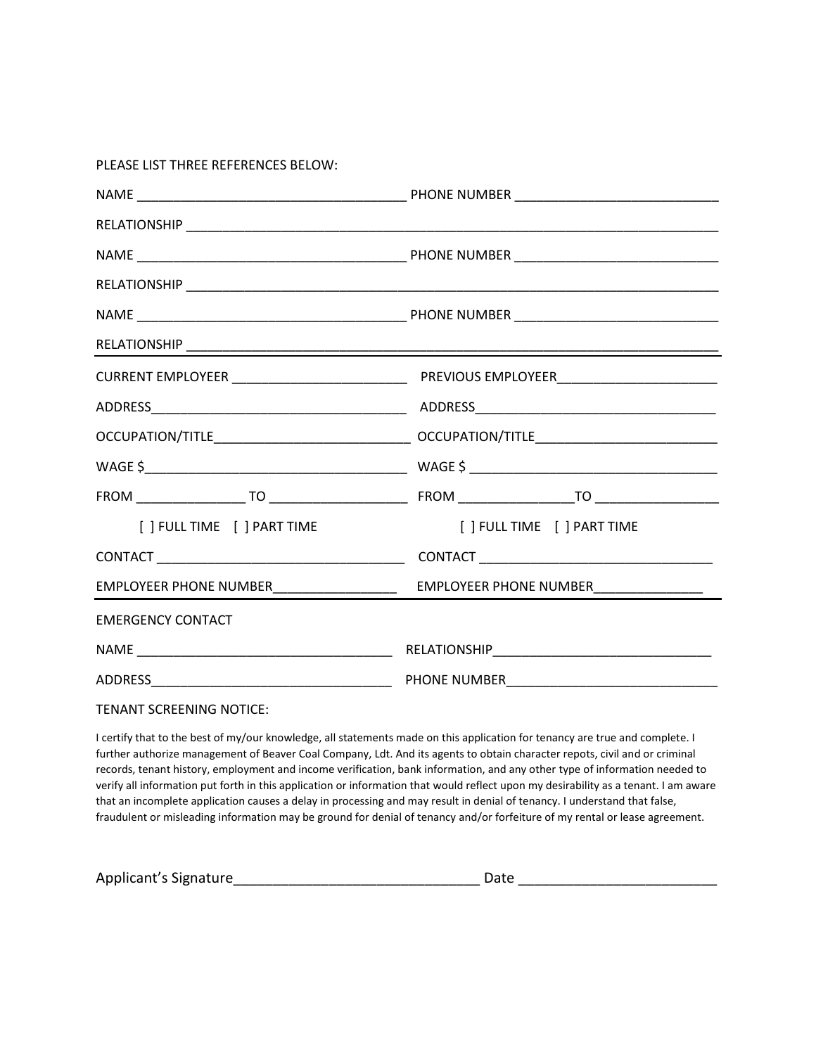PLEASE LIST THREE REFERENCES BELOW:

| [ ] FULL TIME [ ] PART TIME                |                                        |  |  |
|--------------------------------------------|----------------------------------------|--|--|
|                                            |                                        |  |  |
| EMPLOYEER PHONE NUMBER____________________ | EMPLOYEER PHONE NUMBER________________ |  |  |
| <b>EMERGENCY CONTACT</b>                   |                                        |  |  |
|                                            |                                        |  |  |
|                                            |                                        |  |  |

TENANT SCREENING NOTICE:

I certify that to the best of my/our knowledge, all statements made on this application for tenancy are true and complete. I further authorize management of Beaver Coal Company, Ldt. And its agents to obtain character repots, civil and or criminal records, tenant history, employment and income verification, bank information, and any other type of information needed to verify all information put forth in this application or information that would reflect upon my desirability as a tenant. I am aware that an incomplete application causes a delay in processing and may result in denial of tenancy. I understand that false, fraudulent or misleading information may be ground for denial of tenancy and/or forfeiture of my rental or lease agreement.

| Applicant's Signature | Date |  |
|-----------------------|------|--|
|                       |      |  |